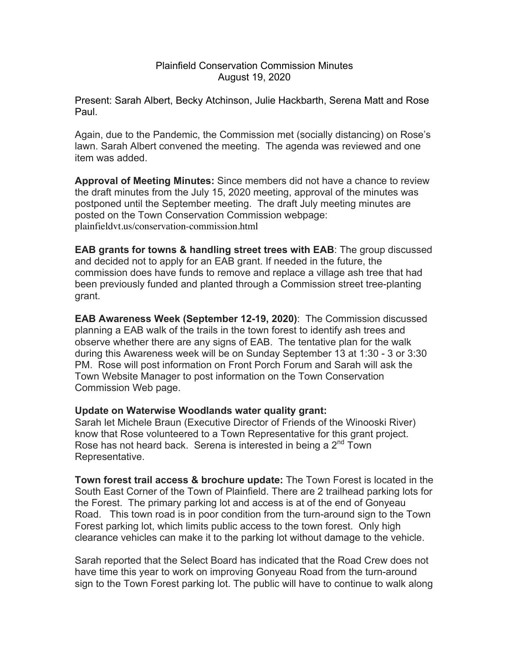## Plainfield Conservation Commission Minutes August 19, 2020

Present: Sarah Albert, Becky Atchinson, Julie Hackbarth, Serena Matt and Rose Paul.

Again, due to the Pandemic, the Commission met (socially distancing) on Rose's lawn. Sarah Albert convened the meeting. The agenda was reviewed and one item was added.

**Approval of Meeting Minutes:** Since members did not have a chance to review the draft minutes from the July 15, 2020 meeting, approval of the minutes was postponed until the September meeting. The draft July meeting minutes are posted on the Town Conservation Commission webpage: plainfieldvt.us/conservation-commission.html

**EAB grants for towns & handling street trees with EAB**: The group discussed and decided not to apply for an EAB grant. If needed in the future, the commission does have funds to remove and replace a village ash tree that had been previously funded and planted through a Commission street tree-planting grant.

**EAB Awareness Week (September 12-19, 2020)**: The Commission discussed planning a EAB walk of the trails in the town forest to identify ash trees and observe whether there are any signs of EAB. The tentative plan for the walk during this Awareness week will be on Sunday September 13 at 1:30 - 3 or 3:30 PM. Rose will post information on Front Porch Forum and Sarah will ask the Town Website Manager to post information on the Town Conservation Commission Web page.

## **Update on Waterwise Woodlands water quality grant:**

Sarah let Michele Braun (Executive Director of Friends of the Winooski River) know that Rose volunteered to a Town Representative for this grant project. Rose has not heard back. Serena is interested in being a  $2<sup>nd</sup>$  Town Representative.

**Town forest trail access & brochure update:** The Town Forest is located in the South East Corner of the Town of Plainfield. There are 2 trailhead parking lots for the Forest. The primary parking lot and access is at of the end of Gonyeau Road. This town road is in poor condition from the turn-around sign to the Town Forest parking lot, which limits public access to the town forest. Only high clearance vehicles can make it to the parking lot without damage to the vehicle.

Sarah reported that the Select Board has indicated that the Road Crew does not have time this year to work on improving Gonyeau Road from the turn-around sign to the Town Forest parking lot. The public will have to continue to walk along